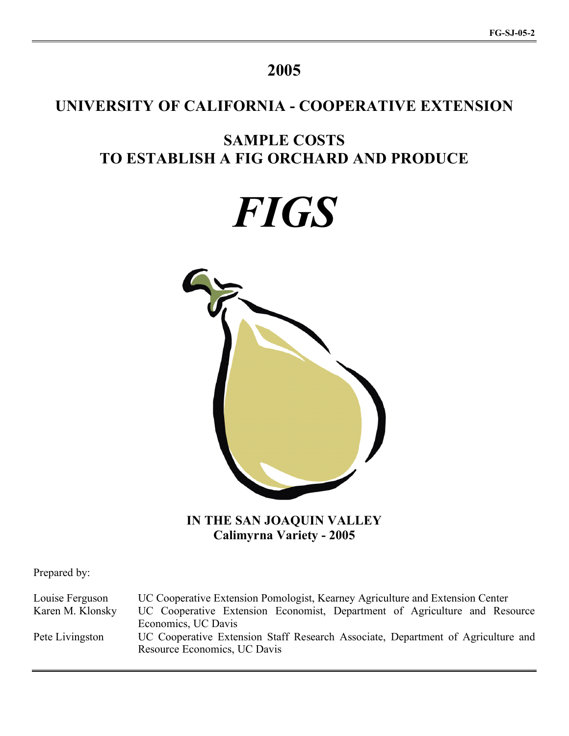# **2005**

# **UNIVERSITY OF CALIFORNIA - COOPERATIVE EXTENSION**

# **SAMPLE COSTS TO ESTABLISH A FIG ORCHARD AND PRODUCE**

*FIGS*



**IN THE SAN JOAQUIN VALLEY Calimyrna Variety - 2005**

Prepared by:

Louise Ferguson UC Cooperative Extension Pomologist, Kearney Agriculture and Extension Center Karen M. Klonsky UC Cooperative Extension Economist, Department of Agriculture and Resource Economics, UC Davis Pete Livingston UC Cooperative Extension Staff Research Associate, Department of Agriculture and Resource Economics, UC Davis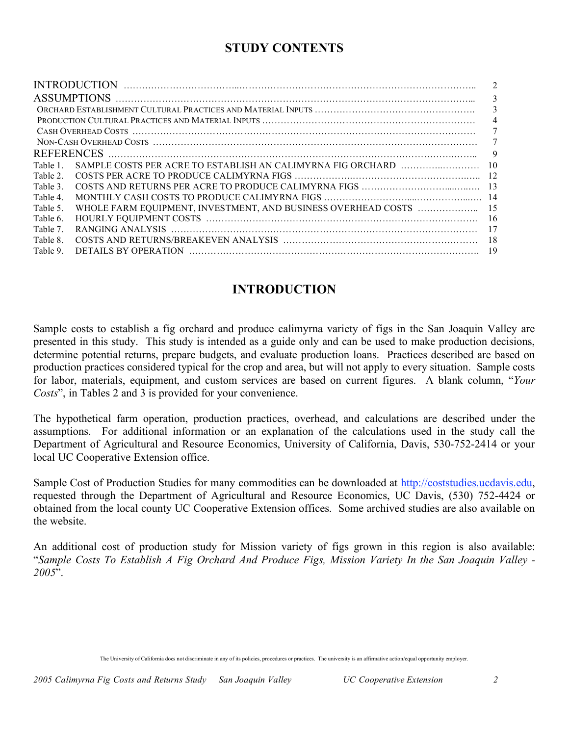# **STUDY CONTENTS**

|          |                                                             | 2              |
|----------|-------------------------------------------------------------|----------------|
|          |                                                             | 3              |
|          |                                                             | 3              |
|          |                                                             | $\overline{4}$ |
|          |                                                             | 7              |
|          |                                                             | 7              |
|          |                                                             | 9              |
| Table 1  | SAMPLE COSTS PER ACRE TO ESTABLISH AN CALIMYRNA FIG ORCHARD | -10            |
| Table 2  |                                                             |                |
| Table 3. |                                                             |                |
| Table 4  |                                                             |                |
| Table 5. |                                                             |                |
| Table 6. |                                                             | -16            |
| Table 7  |                                                             |                |
| Table 8  |                                                             |                |
| Table 9. |                                                             | 19             |
|          |                                                             |                |

# **INTRODUCTION**

Sample costs to establish a fig orchard and produce calimyrna variety of figs in the San Joaquin Valley are presented in this study. This study is intended as a guide only and can be used to make production decisions, determine potential returns, prepare budgets, and evaluate production loans. Practices described are based on production practices considered typical for the crop and area, but will not apply to every situation. Sample costs for labor, materials, equipment, and custom services are based on current figures. A blank column, "*Your Costs*", in Tables 2 and 3 is provided for your convenience.

The hypothetical farm operation, production practices, overhead, and calculations are described under the assumptions. For additional information or an explanation of the calculations used in the study call the Department of Agricultural and Resource Economics, University of California, Davis, 530-752-2414 or your local UC Cooperative Extension office.

Sample Cost of Production Studies for many commodities can be downloaded at http://coststudies.ucdavis.edu, requested through the Department of Agricultural and Resource Economics, UC Davis, (530) 752-4424 or obtained from the local county UC Cooperative Extension offices. Some archived studies are also available on the website.

An additional cost of production study for Mission variety of figs grown in this region is also available: "*Sample Costs To Establish A Fig Orchard And Produce Figs, Mission Variety In the San Joaquin Valley - 2005*".

The University of California does not discriminate in any of its policies, procedures or practices. The university is an affirmative action/equal opportunity employer.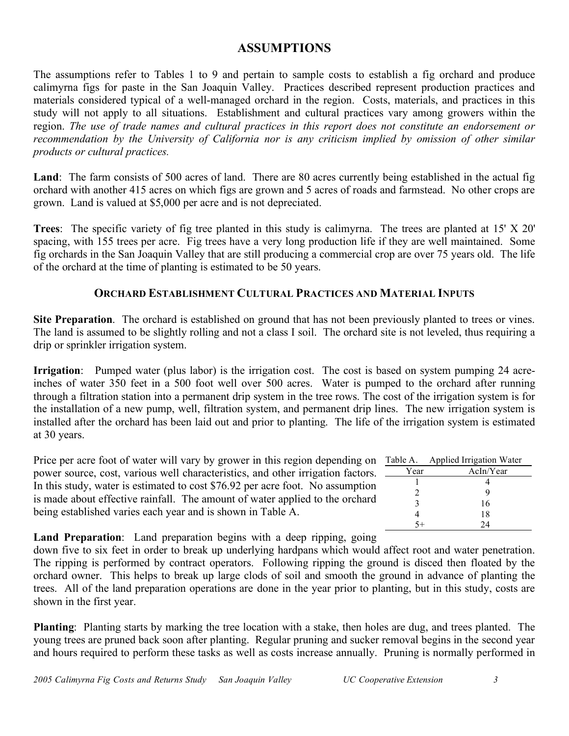## **ASSUMPTIONS**

The assumptions refer to Tables 1 to 9 and pertain to sample costs to establish a fig orchard and produce calimyrna figs for paste in the San Joaquin Valley. Practices described represent production practices and materials considered typical of a well-managed orchard in the region. Costs, materials, and practices in this study will not apply to all situations. Establishment and cultural practices vary among growers within the region. *The use of trade names and cultural practices in this report does not constitute an endorsement or recommendation by the University of California nor is any criticism implied by omission of other similar products or cultural practices.*

**Land**: The farm consists of 500 acres of land. There are 80 acres currently being established in the actual fig orchard with another 415 acres on which figs are grown and 5 acres of roads and farmstead. No other crops are grown. Land is valued at \$5,000 per acre and is not depreciated.

**Trees**: The specific variety of fig tree planted in this study is calimyrna. The trees are planted at 15' X 20' spacing, with 155 trees per acre. Fig trees have a very long production life if they are well maintained. Some fig orchards in the San Joaquin Valley that are still producing a commercial crop are over 75 years old. The life of the orchard at the time of planting is estimated to be 50 years.

### **ORCHARD ESTABLISHMENT CULTURAL PRACTICES AND MATERIAL INPUTS**

**Site Preparation**. The orchard is established on ground that has not been previously planted to trees or vines. The land is assumed to be slightly rolling and not a class I soil. The orchard site is not leveled, thus requiring a drip or sprinkler irrigation system.

**Irrigation**: Pumped water (plus labor) is the irrigation cost. The cost is based on system pumping 24 acreinches of water 350 feet in a 500 foot well over 500 acres. Water is pumped to the orchard after running through a filtration station into a permanent drip system in the tree rows. The cost of the irrigation system is for the installation of a new pump, well, filtration system, and permanent drip lines. The new irrigation system is installed after the orchard has been laid out and prior to planting. The life of the irrigation system is estimated at 30 years.

Price per acre foot of water will vary by grower in this region depending on power source, cost, various well characteristics, and other irrigation factors. In this study, water is estimated to cost \$76.92 per acre foot. No assumption is made about effective rainfall. The amount of water applied to the orchard being established varies each year and is shown in Table A.

| Table A.                    | <b>Applied Irrigation Water</b> |
|-----------------------------|---------------------------------|
| Year                        | AcIn/Year                       |
|                             |                                 |
| $\mathcal{D}_{\mathcal{A}}$ |                                 |
| $\mathbf 3$                 | 16                              |
|                             | 18                              |
|                             | 24                              |

**Land Preparation**: Land preparation begins with a deep ripping, going

down five to six feet in order to break up underlying hardpans which would affect root and water penetration. The ripping is performed by contract operators. Following ripping the ground is disced then floated by the orchard owner. This helps to break up large clods of soil and smooth the ground in advance of planting the trees. All of the land preparation operations are done in the year prior to planting, but in this study, costs are shown in the first year.

**Planting**: Planting starts by marking the tree location with a stake, then holes are dug, and trees planted. The young trees are pruned back soon after planting. Regular pruning and sucker removal begins in the second year and hours required to perform these tasks as well as costs increase annually. Pruning is normally performed in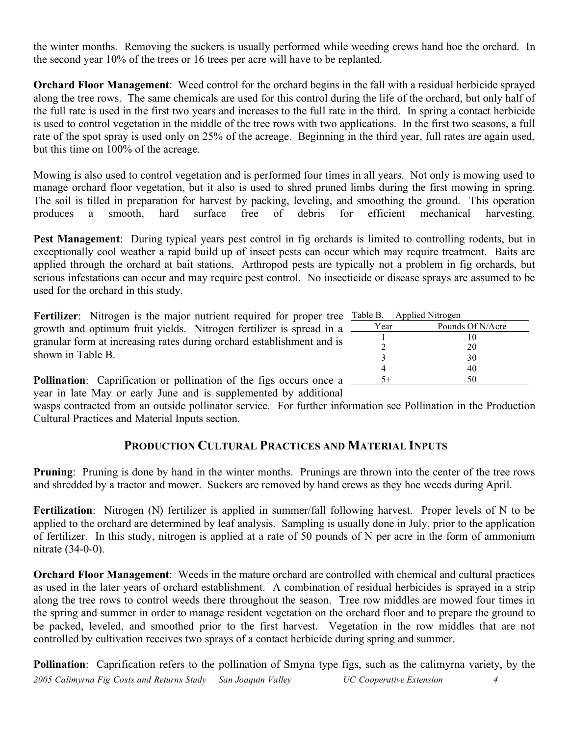the winter months. Removing the suckers is usually performed while weeding crews hand hoe the orchard. In the second year 10% of the trees or 16 trees per acre will have to be replanted.

**Orchard Floor Management**: Weed control for the orchard begins in the fall with a residual herbicide sprayed along the tree rows. The same chemicals are used for this control during the life of the orchard, but only half of the full rate is used in the first two years and increases to the full rate in the third. In spring a contact herbicide is used to control vegetation in the middle of the tree rows with two applications. In the first two seasons, a full rate of the spot spray is used only on 25% of the acreage. Beginning in the third year, full rates are again used, but this time on 100% of the acreage.

Mowing is also used to control vegetation and is performed four times in all years. Not only is mowing used to manage orchard floor vegetation, but it also is used to shred pruned limbs during the first mowing in spring. The soil is tilled in preparation for harvest by packing, leveling, and smoothing the ground. This operation produces a smooth, hard surface free of debris for efficient mechanical harvesting.

**Pest Management**: During typical years pest control in fig orchards is limited to controlling rodents, but in exceptionally cool weather a rapid build up of insect pests can occur which may require treatment. Baits are applied through the orchard at bait stations. Arthropod pests are typically not a problem in fig orchards, but serious infestations can occur and may require pest control. No insecticide or disease sprays are assumed to be used for the orchard in this study.

**Fertilizer**: Nitrogen is the major nutrient required for proper tree growth and optimum fruit yields. Nitrogen fertilizer is spread in a granular form at increasing rates during orchard establishment and is shown in Table B.

| Table B. Applied Nitrogen |                  |
|---------------------------|------------------|
| Year                      | Pounds Of N/Acre |
|                           | 10               |
| 7                         | 20               |
| 3                         | 30               |
|                           | 40               |
|                           | 50               |

**Pollination**: Caprification or pollination of the figs occurs once a year in late May or early June and is supplemented by additional

wasps contracted from an outside pollinator service. For further information see Pollination in the Production Cultural Practices and Material Inputs section.

## **PRODUCTION CULTURAL PRACTICES AND MATERIAL INPUTS**

**Pruning**: Pruning is done by hand in the winter months. Prunings are thrown into the center of the tree rows and shredded by a tractor and mower. Suckers are removed by hand crews as they hoe weeds during April.

**Fertilization**: Nitrogen (N) fertilizer is applied in summer/fall following harvest. Proper levels of N to be applied to the orchard are determined by leaf analysis. Sampling is usually done in July, prior to the application of fertilizer. In this study, nitrogen is applied at a rate of 50 pounds of N per acre in the form of ammonium nitrate (34-0-0).

**Orchard Floor Management**: Weeds in the mature orchard are controlled with chemical and cultural practices as used in the later years of orchard establishment. A combination of residual herbicides is sprayed in a strip along the tree rows to control weeds there throughout the season. Tree row middles are mowed four times in the spring and summer in order to manage resident vegetation on the orchard floor and to prepare the ground to be packed, leveled, and smoothed prior to the first harvest. Vegetation in the row middles that are not controlled by cultivation receives two sprays of a contact herbicide during spring and summer.

*2005 Calimyrna Fig Costs and Returns Study San Joaquin Valley UC Cooperative Extension 4* **Pollination**: Caprification refers to the pollination of Smyna type figs, such as the calimyrna variety, by the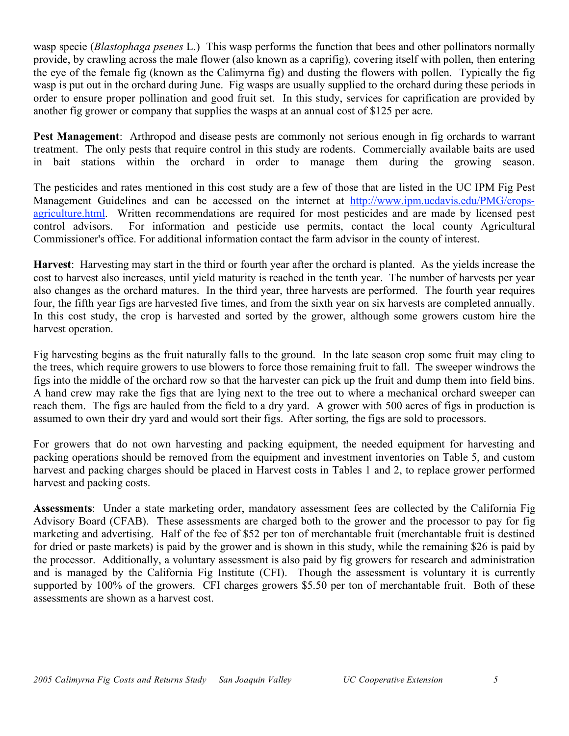wasp specie (*Blastophaga psenes* L.) This wasp performs the function that bees and other pollinators normally provide, by crawling across the male flower (also known as a caprifig), covering itself with pollen, then entering the eye of the female fig (known as the Calimyrna fig) and dusting the flowers with pollen. Typically the fig wasp is put out in the orchard during June. Fig wasps are usually supplied to the orchard during these periods in order to ensure proper pollination and good fruit set. In this study, services for caprification are provided by another fig grower or company that supplies the wasps at an annual cost of \$125 per acre.

**Pest Management**: Arthropod and disease pests are commonly not serious enough in fig orchards to warrant treatment. The only pests that require control in this study are rodents. Commercially available baits are used in bait stations within the orchard in order to manage them during the growing season.

The pesticides and rates mentioned in this cost study are a few of those that are listed in the UC IPM Fig Pest Management Guidelines and can be accessed on the internet at http://www.ipm.ucdavis.edu/PMG/cropsagriculture.html. Written recommendations are required for most pesticides and are made by licensed pest control advisors. For information and pesticide use permits, contact the local county Agricultural Commissioner's office. For additional information contact the farm advisor in the county of interest.

**Harvest**: Harvesting may start in the third or fourth year after the orchard is planted. As the yields increase the cost to harvest also increases, until yield maturity is reached in the tenth year. The number of harvests per year also changes as the orchard matures. In the third year, three harvests are performed. The fourth year requires four, the fifth year figs are harvested five times, and from the sixth year on six harvests are completed annually. In this cost study, the crop is harvested and sorted by the grower, although some growers custom hire the harvest operation.

Fig harvesting begins as the fruit naturally falls to the ground. In the late season crop some fruit may cling to the trees, which require growers to use blowers to force those remaining fruit to fall. The sweeper windrows the figs into the middle of the orchard row so that the harvester can pick up the fruit and dump them into field bins. A hand crew may rake the figs that are lying next to the tree out to where a mechanical orchard sweeper can reach them. The figs are hauled from the field to a dry yard. A grower with 500 acres of figs in production is assumed to own their dry yard and would sort their figs. After sorting, the figs are sold to processors.

For growers that do not own harvesting and packing equipment, the needed equipment for harvesting and packing operations should be removed from the equipment and investment inventories on Table 5, and custom harvest and packing charges should be placed in Harvest costs in Tables 1 and 2, to replace grower performed harvest and packing costs.

**Assessments**: Under a state marketing order, mandatory assessment fees are collected by the California Fig Advisory Board (CFAB). These assessments are charged both to the grower and the processor to pay for fig marketing and advertising. Half of the fee of \$52 per ton of merchantable fruit (merchantable fruit is destined for dried or paste markets) is paid by the grower and is shown in this study, while the remaining \$26 is paid by the processor. Additionally, a voluntary assessment is also paid by fig growers for research and administration and is managed by the California Fig Institute (CFI). Though the assessment is voluntary it is currently supported by 100% of the growers. CFI charges growers \$5.50 per ton of merchantable fruit. Both of these assessments are shown as a harvest cost.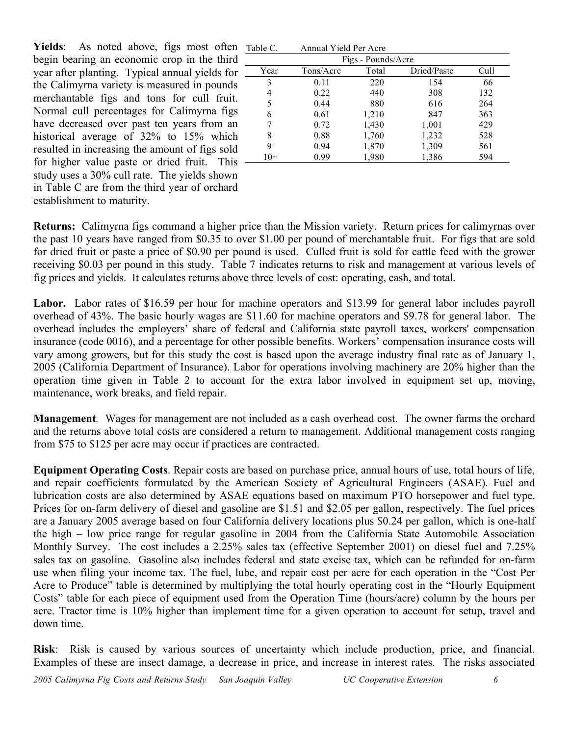Yields: As noted above, figs most often begin bearing an economic crop in the third year after planting. Typical annual yields for the Calimyrna variety is measured in pounds merchantable figs and tons for cull fruit. Normal cull percentages for Calimyrna figs have decreased over past ten years from an historical average of 32% to 15% which resulted in increasing the amount of figs sold for higher value paste or dried fruit. This study uses a 30% cull rate. The yields shown in Table C are from the third year of orchard establishment to maturity.

| Table C.           | Annual Yield Per Acre |       |             |      |  |  |  |  |  |  |
|--------------------|-----------------------|-------|-------------|------|--|--|--|--|--|--|
| Figs - Pounds/Acre |                       |       |             |      |  |  |  |  |  |  |
| Year               | Tons/Acre             | Total | Dried/Paste | Cull |  |  |  |  |  |  |
| 3                  | 0.11                  | 220   | 154         | 66   |  |  |  |  |  |  |
| 4                  | 0.22                  | 440   | 308         | 132  |  |  |  |  |  |  |
| 5                  | 0.44                  | 880   | 616         | 264  |  |  |  |  |  |  |
| 6                  | 0.61                  | 1,210 | 847         | 363  |  |  |  |  |  |  |
|                    | 0.72                  | 1,430 | 1,001       | 429  |  |  |  |  |  |  |
| 8                  | 0.88                  | 1,760 | 1,232       | 528  |  |  |  |  |  |  |
| 9                  | 0.94                  | 1,870 | 1,309       | 561  |  |  |  |  |  |  |
| $10+$              | 0.99                  | 1,980 | 1,386       | 594  |  |  |  |  |  |  |

**Returns:** Calimyrna figs command a higher price than the Mission variety. Return prices for calimyrnas over the past 10 years have ranged from \$0.35 to over \$1.00 per pound of merchantable fruit. For figs that are sold for dried fruit or paste a price of \$0.90 per pound is used. Culled fruit is sold for cattle feed with the grower receiving \$0.03 per pound in this study. Table 7 indicates returns to risk and management at various levels of fig prices and yields. It calculates returns above three levels of cost: operating, cash, and total.

**Labor.** Labor rates of \$16.59 per hour for machine operators and \$13.99 for general labor includes payroll overhead of 43%. The basic hourly wages are \$11.60 for machine operators and \$9.78 for general labor. The overhead includes the employers' share of federal and California state payroll taxes, workers' compensation insurance (code 0016), and a percentage for other possible benefits. Workers' compensation insurance costs will vary among growers, but for this study the cost is based upon the average industry final rate as of January 1, 2005 (California Department of Insurance). Labor for operations involving machinery are 20% higher than the operation time given in Table 2 to account for the extra labor involved in equipment set up, moving, maintenance, work breaks, and field repair.

**Management***.* Wages for management are not included as a cash overhead cost. The owner farms the orchard and the returns above total costs are considered a return to management. Additional management costs ranging from \$75 to \$125 per acre may occur if practices are contracted.

**Equipment Operating Costs**. Repair costs are based on purchase price, annual hours of use, total hours of life, and repair coefficients formulated by the American Society of Agricultural Engineers (ASAE). Fuel and lubrication costs are also determined by ASAE equations based on maximum PTO horsepower and fuel type. Prices for on-farm delivery of diesel and gasoline are \$1.51 and \$2.05 per gallon, respectively. The fuel prices are a January 2005 average based on four California delivery locations plus \$0.24 per gallon, which is one-half the high – low price range for regular gasoline in 2004 from the California State Automobile Association Monthly Survey. The cost includes a 2.25% sales tax (effective September 2001) on diesel fuel and 7.25% sales tax on gasoline. Gasoline also includes federal and state excise tax, which can be refunded for on-farm use when filing your income tax. The fuel, lube, and repair cost per acre for each operation in the "Cost Per Acre to Produce" table is determined by multiplying the total hourly operating cost in the "Hourly Equipment Costs" table for each piece of equipment used from the Operation Time (hours/acre) column by the hours per acre. Tractor time is 10% higher than implement time for a given operation to account for setup, travel and down time.

**Risk**: Risk is caused by various sources of uncertainty which include production, price, and financial. Examples of these are insect damage, a decrease in price, and increase in interest rates. The risks associated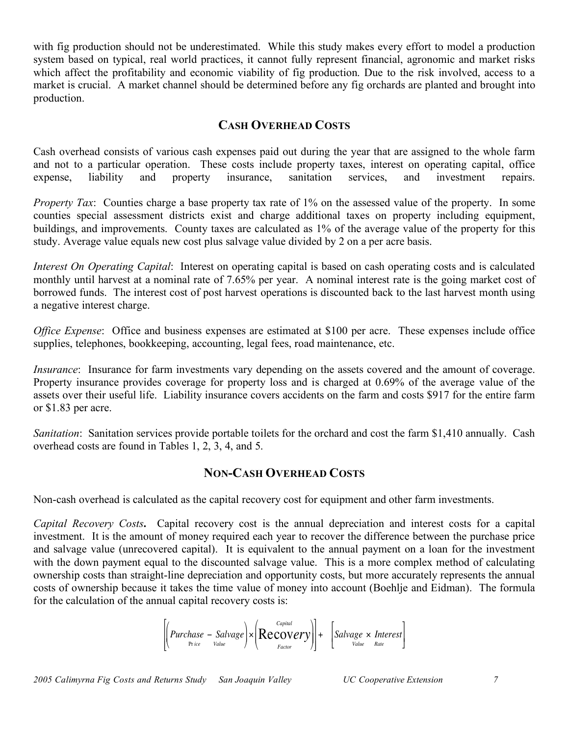with fig production should not be underestimated. While this study makes every effort to model a production system based on typical, real world practices, it cannot fully represent financial, agronomic and market risks which affect the profitability and economic viability of fig production. Due to the risk involved, access to a market is crucial. A market channel should be determined before any fig orchards are planted and brought into production.

### **CASH OVERHEAD COSTS**

Cash overhead consists of various cash expenses paid out during the year that are assigned to the whole farm and not to a particular operation. These costs include property taxes, interest on operating capital, office expense, liability and property insurance, sanitation services, and investment repairs.

*Property Tax*: Counties charge a base property tax rate of 1% on the assessed value of the property. In some counties special assessment districts exist and charge additional taxes on property including equipment, buildings, and improvements. County taxes are calculated as 1% of the average value of the property for this study. Average value equals new cost plus salvage value divided by 2 on a per acre basis.

*Interest On Operating Capital*: Interest on operating capital is based on cash operating costs and is calculated monthly until harvest at a nominal rate of 7.65% per year. A nominal interest rate is the going market cost of borrowed funds. The interest cost of post harvest operations is discounted back to the last harvest month using a negative interest charge.

*Office Expense*: Office and business expenses are estimated at \$100 per acre. These expenses include office supplies, telephones, bookkeeping, accounting, legal fees, road maintenance, etc.

*Insurance*: Insurance for farm investments vary depending on the assets covered and the amount of coverage. Property insurance provides coverage for property loss and is charged at 0.69% of the average value of the assets over their useful life. Liability insurance covers accidents on the farm and costs \$917 for the entire farm or \$1.83 per acre.

*Sanitation*: Sanitation services provide portable toilets for the orchard and cost the farm \$1,410 annually. Cash overhead costs are found in Tables 1, 2, 3, 4, and 5.

### **NON-CASH OVERHEAD COSTS**

Non-cash overhead is calculated as the capital recovery cost for equipment and other farm investments.

*Capital Recovery Costs***.** Capital recovery cost is the annual depreciation and interest costs for a capital investment. It is the amount of money required each year to recover the difference between the purchase price and salvage value (unrecovered capital). It is equivalent to the annual payment on a loan for the investment with the down payment equal to the discounted salvage value. This is a more complex method of calculating ownership costs than straight-line depreciation and opportunity costs, but more accurately represents the annual costs of ownership because it takes the time value of money into account (Boehlje and Eidman). The formula for the calculation of the annual capital recovery costs is:

$$
\left[\left(Purchase - Salvage\right) \times \left( \text{Recovery} \right) \right] + \left[ Salvage \times Interest \right]
$$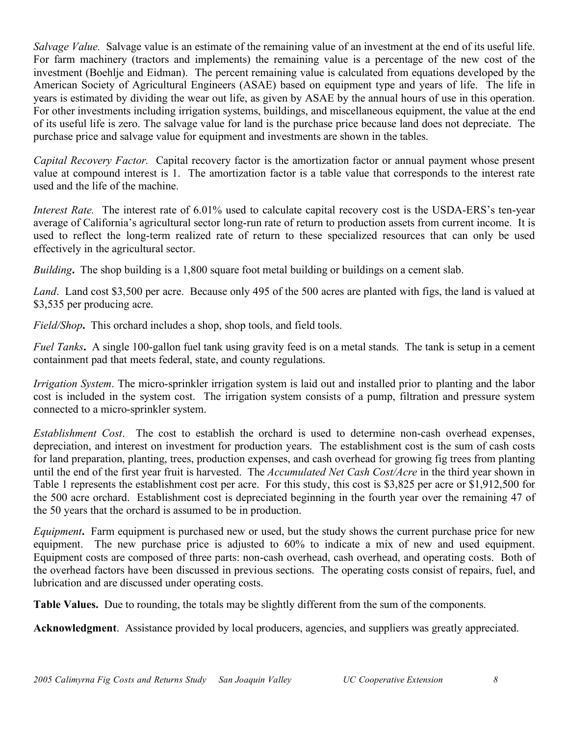*Salvage Value.* Salvage value is an estimate of the remaining value of an investment at the end of its useful life. For farm machinery (tractors and implements) the remaining value is a percentage of the new cost of the investment (Boehlje and Eidman). The percent remaining value is calculated from equations developed by the American Society of Agricultural Engineers (ASAE) based on equipment type and years of life. The life in years is estimated by dividing the wear out life, as given by ASAE by the annual hours of use in this operation. For other investments including irrigation systems, buildings, and miscellaneous equipment, the value at the end of its useful life is zero. The salvage value for land is the purchase price because land does not depreciate. The purchase price and salvage value for equipment and investments are shown in the tables.

*Capital Recovery Factor.* Capital recovery factor is the amortization factor or annual payment whose present value at compound interest is 1. The amortization factor is a table value that corresponds to the interest rate used and the life of the machine.

*Interest Rate.* The interest rate of 6.01% used to calculate capital recovery cost is the USDA-ERS's ten-year average of California's agricultural sector long-run rate of return to production assets from current income. It is used to reflect the long-term realized rate of return to these specialized resources that can only be used effectively in the agricultural sector.

*Building***.** The shop building is a 1,800 square foot metal building or buildings on a cement slab.

*Land*. Land cost \$3,500 per acre. Because only 495 of the 500 acres are planted with figs, the land is valued at \$3,535 per producing acre.

*Field/Shop***.** This orchard includes a shop, shop tools, and field tools.

*Fuel Tanks***.** A single 100-gallon fuel tank using gravity feed is on a metal stands. The tank is setup in a cement containment pad that meets federal, state, and county regulations.

*Irrigation System*. The micro-sprinkler irrigation system is laid out and installed prior to planting and the labor cost is included in the system cost. The irrigation system consists of a pump, filtration and pressure system connected to a micro-sprinkler system.

*Establishment Cost*. The cost to establish the orchard is used to determine non-cash overhead expenses, depreciation, and interest on investment for production years. The establishment cost is the sum of cash costs for land preparation, planting, trees, production expenses, and cash overhead for growing fig trees from planting until the end of the first year fruit is harvested. The *Accumulated Net Cash Cost/Acre* in the third year shown in Table 1 represents the establishment cost per acre. For this study, this cost is \$3,825 per acre or \$1,912,500 for the 500 acre orchard. Establishment cost is depreciated beginning in the fourth year over the remaining 47 of the 50 years that the orchard is assumed to be in production.

*Equipment***.** Farm equipment is purchased new or used, but the study shows the current purchase price for new equipment. The new purchase price is adjusted to 60% to indicate a mix of new and used equipment. Equipment costs are composed of three parts: non-cash overhead, cash overhead, and operating costs. Both of the overhead factors have been discussed in previous sections. The operating costs consist of repairs, fuel, and lubrication and are discussed under operating costs.

**Table Values.** Due to rounding, the totals may be slightly different from the sum of the components.

**Acknowledgment**. Assistance provided by local producers, agencies, and suppliers was greatly appreciated.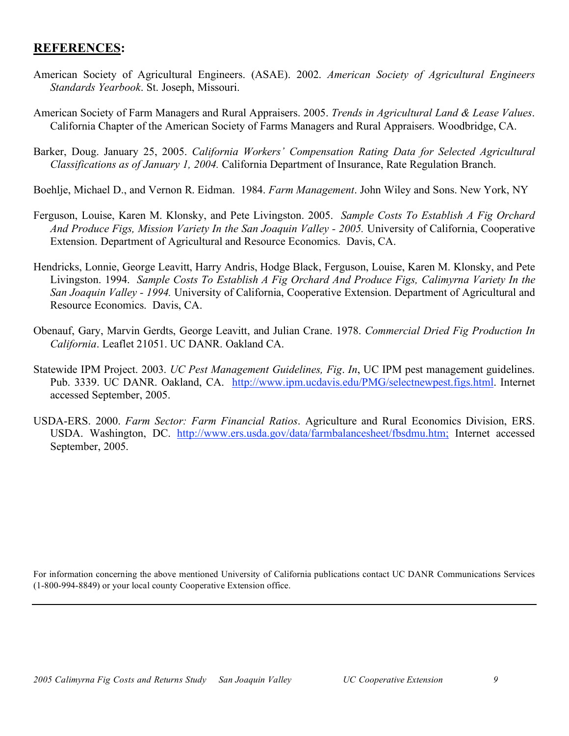## **REFERENCES:**

- American Society of Agricultural Engineers. (ASAE). 2002. *American Society of Agricultural Engineers Standards Yearbook*. St. Joseph, Missouri.
- American Society of Farm Managers and Rural Appraisers. 2005. *Trends in Agricultural Land & Lease Values*. California Chapter of the American Society of Farms Managers and Rural Appraisers. Woodbridge, CA.
- Barker, Doug. January 25, 2005. *California Workers' Compensation Rating Data for Selected Agricultural Classifications as of January 1, 2004.* California Department of Insurance, Rate Regulation Branch.
- Boehlje, Michael D., and Vernon R. Eidman. 1984. *Farm Management*. John Wiley and Sons. New York, NY
- Ferguson, Louise, Karen M. Klonsky, and Pete Livingston. 2005. *Sample Costs To Establish A Fig Orchard And Produce Figs, Mission Variety In the San Joaquin Valley - 2005.* University of California, Cooperative Extension. Department of Agricultural and Resource Economics. Davis, CA.
- Hendricks, Lonnie, George Leavitt, Harry Andris, Hodge Black, Ferguson, Louise, Karen M. Klonsky, and Pete Livingston. 1994. *Sample Costs To Establish A Fig Orchard And Produce Figs, Calimyrna Variety In the San Joaquin Valley - 1994.* University of California, Cooperative Extension. Department of Agricultural and Resource Economics. Davis, CA.
- Obenauf, Gary, Marvin Gerdts, George Leavitt, and Julian Crane. 1978. *Commercial Dried Fig Production In California*. Leaflet 21051. UC DANR. Oakland CA.
- Statewide IPM Project. 2003. *UC Pest Management Guidelines, Fig*. *In*, UC IPM pest management guidelines. Pub. 3339. UC DANR. Oakland, CA. http://www.ipm.ucdavis.edu/PMG/selectnewpest.figs.html. Internet accessed September, 2005.
- USDA-ERS. 2000. *Farm Sector: Farm Financial Ratios*. Agriculture and Rural Economics Division, ERS. USDA. Washington, DC. http://www.ers.usda.gov/data/farmbalancesheet/fbsdmu.htm; Internet accessed September, 2005.

For information concerning the above mentioned University of California publications contact UC DANR Communications Services (1-800-994-8849) or your local county Cooperative Extension office.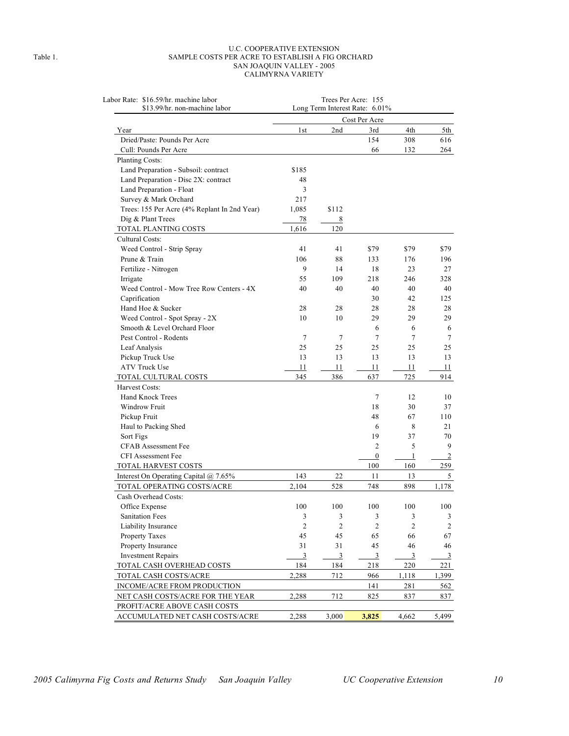#### U.C. COOPERATIVE EXTENSION Table 1. SAMPLE COSTS PER ACRE TO ESTABLISH A FIG ORCHARD SAN JOAQUIN VALLEY - 2005 CALIMYRNA VARIETY

| Labor Rate: \$16.59/hr. machine labor<br>\$13.99/hr. non-machine labor | Trees Per Acre: 155<br>Long Term Interest Rate: 6.01% |                             |                             |                         |       |  |  |  |  |
|------------------------------------------------------------------------|-------------------------------------------------------|-----------------------------|-----------------------------|-------------------------|-------|--|--|--|--|
|                                                                        | Cost Per Acre                                         |                             |                             |                         |       |  |  |  |  |
| Year                                                                   | 1 <sub>st</sub>                                       | 2nd                         | 3rd                         | 4th                     | 5th   |  |  |  |  |
| Dried/Paste: Pounds Per Acre                                           |                                                       |                             | 154                         | 308                     | 616   |  |  |  |  |
| Cull: Pounds Per Acre                                                  |                                                       |                             | 66                          | 132                     | 264   |  |  |  |  |
| Planting Costs:                                                        |                                                       |                             |                             |                         |       |  |  |  |  |
| Land Preparation - Subsoil: contract                                   | \$185                                                 |                             |                             |                         |       |  |  |  |  |
| Land Preparation - Disc 2X: contract                                   | 48                                                    |                             |                             |                         |       |  |  |  |  |
| Land Preparation - Float                                               | 3                                                     |                             |                             |                         |       |  |  |  |  |
| Survey & Mark Orchard                                                  | 217                                                   |                             |                             |                         |       |  |  |  |  |
| Trees: 155 Per Acre (4% Replant In 2nd Year)                           | 1,085                                                 | \$112                       |                             |                         |       |  |  |  |  |
| Dig & Plant Trees                                                      | 78                                                    | 8                           |                             |                         |       |  |  |  |  |
| TOTAL PLANTING COSTS                                                   | 1,616                                                 | 120                         |                             |                         |       |  |  |  |  |
| Cultural Costs:                                                        |                                                       |                             |                             |                         |       |  |  |  |  |
| Weed Control - Strip Spray                                             | 41                                                    | 41                          | \$79                        | \$79                    | \$79  |  |  |  |  |
| Prune & Train                                                          | 106                                                   | 88                          | 133                         | 176                     | 196   |  |  |  |  |
| Fertilize - Nitrogen                                                   | 9                                                     | 14                          | 18                          | 23                      | 27    |  |  |  |  |
| Irrigate                                                               | 55                                                    | 109                         | 218                         | 246                     | 328   |  |  |  |  |
| Weed Control - Mow Tree Row Centers - 4X                               | 40                                                    | 40                          | 40                          | 40                      | 40    |  |  |  |  |
| Caprification                                                          |                                                       |                             | 30                          | 42                      | 125   |  |  |  |  |
| Hand Hoe & Sucker                                                      | 28                                                    | 28                          | 28                          | 28                      | 28    |  |  |  |  |
| Weed Control - Spot Spray - 2X                                         | 10                                                    | 10                          | 29                          | 29                      | 29    |  |  |  |  |
| Smooth & Level Orchard Floor                                           |                                                       |                             | 6                           | 6                       |       |  |  |  |  |
| Pest Control - Rodents                                                 | 7                                                     | 7                           | 7                           | 7                       |       |  |  |  |  |
| Leaf Analysis                                                          | 25                                                    | 25                          | 25                          | 25                      | 25    |  |  |  |  |
| Pickup Truck Use                                                       | 13                                                    | 13                          | 13                          | 13                      | 13    |  |  |  |  |
| <b>ATV Truck Use</b>                                                   | 11                                                    | 11                          | 11                          | 11                      | 11    |  |  |  |  |
| TOTAL CULTURAL COSTS                                                   | 345                                                   | 386                         | 637                         | 725                     | 914   |  |  |  |  |
| Harvest Costs:                                                         |                                                       |                             |                             |                         |       |  |  |  |  |
| <b>Hand Knock Trees</b>                                                |                                                       |                             | 7                           | 12                      | 10    |  |  |  |  |
| Windrow Fruit                                                          |                                                       |                             | 18                          | 30                      | 37    |  |  |  |  |
| Pickup Fruit                                                           |                                                       |                             | 48                          | 67                      | 110   |  |  |  |  |
| Haul to Packing Shed                                                   |                                                       |                             | 6                           | 8                       | 21    |  |  |  |  |
| Sort Figs                                                              |                                                       |                             | 19                          | 37                      | 70    |  |  |  |  |
| <b>CFAB Assessment Fee</b>                                             |                                                       |                             | $\overline{c}$              | 5                       |       |  |  |  |  |
| <b>CFI Assessment Fee</b>                                              |                                                       |                             | $\boldsymbol{0}$            | 1                       |       |  |  |  |  |
| <b>TOTAL HARVEST COSTS</b>                                             |                                                       |                             | 100                         | 160                     | 259   |  |  |  |  |
| Interest On Operating Capital @ 7.65%                                  | 143                                                   | 22                          | 11                          | 13                      |       |  |  |  |  |
| TOTAL OPERATING COSTS/ACRE                                             | 2,104                                                 | 528                         | 748                         | 898                     | 1,178 |  |  |  |  |
| Cash Overhead Costs:                                                   |                                                       |                             |                             |                         |       |  |  |  |  |
| Office Expense                                                         | 100                                                   | 100                         | 100                         | 100                     | 100   |  |  |  |  |
| <b>Sanitation Fees</b>                                                 | 3                                                     | $\ensuremath{\mathfrak{Z}}$ | $\ensuremath{\mathfrak{Z}}$ | $\mathfrak{Z}$          |       |  |  |  |  |
| Liability Insurance                                                    | $\overline{2}$                                        | $\sqrt{2}$                  | $\overline{c}$              | $\overline{2}$          |       |  |  |  |  |
| <b>Property Taxes</b>                                                  | 45                                                    | 45                          | 65                          | 66                      | 67    |  |  |  |  |
| Property Insurance                                                     | 31                                                    | 31                          | 45                          | 46                      | 46    |  |  |  |  |
| <b>Investment Repairs</b>                                              | $\mathbf{3}$                                          | $\mathfrak{Z}$              | 3                           | $\overline{\mathbf{3}}$ |       |  |  |  |  |
| TOTAL CASH OVERHEAD COSTS                                              | 184                                                   | 184                         | 218                         | 220                     | 221   |  |  |  |  |
| TOTAL CASH COSTS/ACRE                                                  | 2,288                                                 | 712                         | 966                         | 1,118                   | 1,399 |  |  |  |  |
| INCOME/ACRE FROM PRODUCTION                                            |                                                       |                             | 141                         | 281                     | 562   |  |  |  |  |
| NET CASH COSTS/ACRE FOR THE YEAR                                       | 2,288                                                 | 712                         | 825                         | 837                     | 837   |  |  |  |  |
| PROFIT/ACRE ABOVE CASH COSTS                                           |                                                       |                             |                             |                         |       |  |  |  |  |
| ACCUMULATED NET CASH COSTS/ACRE                                        | 2,288                                                 | 3,000                       | 3,825                       | 4,662                   | 5,499 |  |  |  |  |
|                                                                        |                                                       |                             |                             |                         |       |  |  |  |  |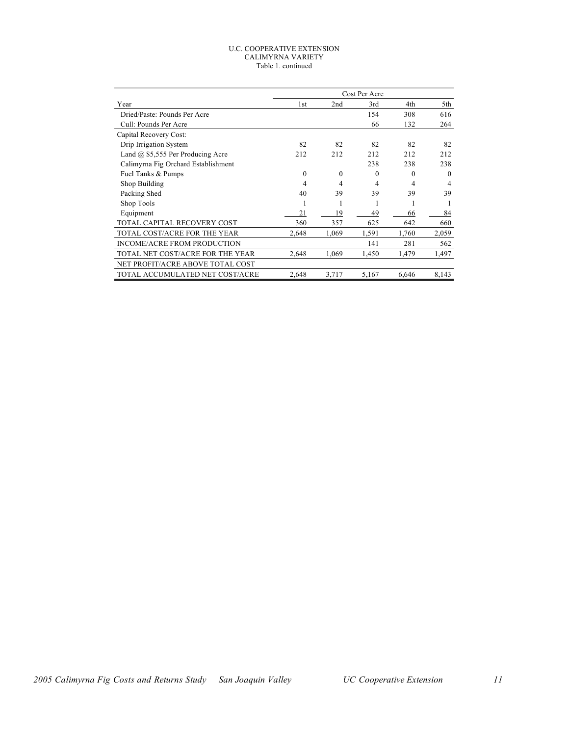#### U.C. COOPERATIVE EXTENSION CALIMYRNA VARIETY Table 1. continued

|                                          | Cost Per Acre |          |          |          |          |  |  |
|------------------------------------------|---------------|----------|----------|----------|----------|--|--|
| Year                                     | 1st           | 2nd      | 3rd      | 4th      | 5th      |  |  |
| Dried/Paste: Pounds Per Acre             |               |          | 154      | 308      | 616      |  |  |
| Cull: Pounds Per Acre                    |               |          | 66       | 132      | 264      |  |  |
| Capital Recovery Cost:                   |               |          |          |          |          |  |  |
| Drip Irrigation System                   | 82            | 82       | 82       | 82       | 82       |  |  |
| Land $\omega$ \$5,555 Per Producing Acre | 212           | 212      | 212      | 212      | 212      |  |  |
| Calimyrna Fig Orchard Establishment      |               |          | 238      | 238      | 238      |  |  |
| Fuel Tanks & Pumps                       | $\theta$      | $\Omega$ | $\Omega$ | $\Omega$ | $\theta$ |  |  |
| Shop Building                            | 4             | 4        | 4        | 4        | 4        |  |  |
| Packing Shed                             | 40            | 39       | 39       | 39       | 39       |  |  |
| Shop Tools                               | ı             |          |          |          |          |  |  |
| Equipment                                | 21            | 19       | 49       | 66       | 84       |  |  |
| TOTAL CAPITAL RECOVERY COST              | 360           | 357      | 625      | 642      | 660      |  |  |
| TOTAL COST/ACRE FOR THE YEAR             | 2,648         | 1,069    | 1,591    | 1,760    | 2,059    |  |  |
| <b>INCOME/ACRE FROM PRODUCTION</b>       |               |          | 141      | 281      | 562      |  |  |
| TOTAL NET COST/ACRE FOR THE YEAR         | 2,648         | 1,069    | 1,450    | 1,479    | 1,497    |  |  |
| NET PROFIT/ACRE ABOVE TOTAL COST         |               |          |          |          |          |  |  |
| TOTAL ACCUMULATED NET COST/ACRE          | 2,648         | 3,717    | 5,167    | 6,646    | 8,143    |  |  |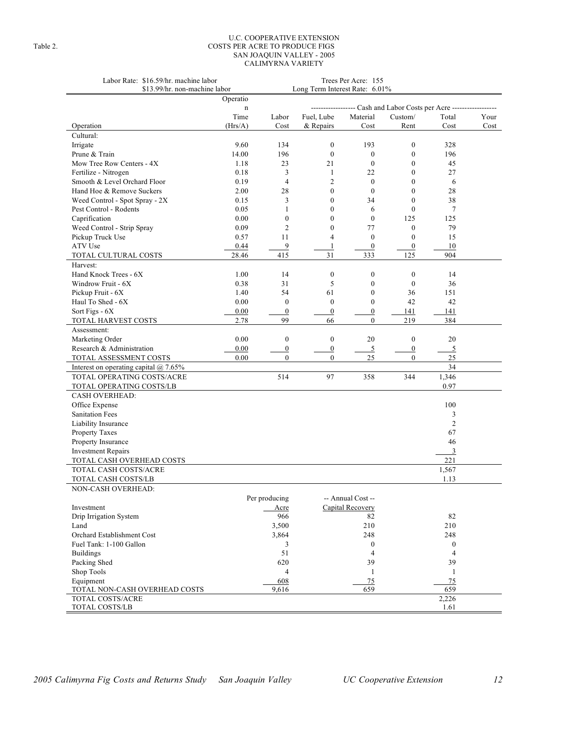#### U.C. COOPERATIVE EXTENSION Table 2. COSTS PER ACRE TO PRODUCE FIGS SAN JOAQUIN VALLEY - 2005 CALIMYRNA VARIETY

| Labor Rate: \$16.59/hr. machine labor<br>\$13.99/hr. non-machine labor | Long Term Interest Rate: 6.01% | Trees Per Acre: 155 |                                      |                   |                  |                  |      |
|------------------------------------------------------------------------|--------------------------------|---------------------|--------------------------------------|-------------------|------------------|------------------|------|
|                                                                        | Operatio                       |                     |                                      |                   |                  |                  |      |
|                                                                        | n                              |                     | --- Cash and Labor Costs per Acre -- |                   |                  |                  |      |
|                                                                        | Time                           | Labor               | Fuel, Lube                           | Material          | Custom/          | Total            | Your |
| Operation                                                              | (Hrs/A)                        | Cost                | & Repairs                            | Cost              | Rent             | Cost             | Cost |
| Cultural:                                                              |                                |                     |                                      |                   |                  |                  |      |
| Irrigate                                                               | 9.60                           | 134                 | $\boldsymbol{0}$                     | 193               | $\boldsymbol{0}$ | 328              |      |
| Prune & Train                                                          | 14.00                          | 196                 | $\mathbf{0}$                         | $\boldsymbol{0}$  | $\boldsymbol{0}$ | 196              |      |
| Mow Tree Row Centers - 4X                                              | 1.18                           | 23                  | 21                                   | $\mathbf{0}$      | $\mathbf{0}$     | 45               |      |
| Fertilize - Nitrogen                                                   | 0.18                           | 3                   | $\mathbf{1}$                         | 22                | $\mathbf{0}$     | 27               |      |
| Smooth & Level Orchard Floor                                           | 0.19                           | $\overline{4}$      | $\overline{2}$                       | $\boldsymbol{0}$  | $\mathbf{0}$     | 6                |      |
| Hand Hoe & Remove Suckers                                              | 2.00                           | 28                  | $\mathbf{0}$                         | $\mathbf{0}$      | $\mathbf{0}$     | 28               |      |
| Weed Control - Spot Spray - 2X                                         | 0.15                           | 3                   | $\Omega$                             | 34                | $\mathbf{0}$     | 38               |      |
| Pest Control - Rodents                                                 | 0.05                           | 1                   | $\mathbf{0}$                         | 6                 | $\mathbf{0}$     | 7                |      |
| Caprification                                                          | 0.00                           | $\boldsymbol{0}$    | $\mathbf{0}$                         | $\mathbf{0}$      | 125              | 125              |      |
| Weed Control - Strip Spray                                             | 0.09                           | $\overline{2}$      | $\theta$                             | 77                | $\mathbf{0}$     | 79               |      |
| Pickup Truck Use                                                       | 0.57                           | 11                  | $\overline{4}$                       | $\boldsymbol{0}$  | $\boldsymbol{0}$ | 15               |      |
| ATV Use                                                                | 0.44                           | $\overline{9}$      | 1                                    | $\boldsymbol{0}$  | $\boldsymbol{0}$ | 10               |      |
| TOTAL CULTURAL COSTS                                                   | 28.46                          | 415                 | 31                                   | 333               | 125              | 904              |      |
| Harvest:                                                               |                                |                     |                                      |                   |                  |                  |      |
| Hand Knock Trees - 6X                                                  | 1.00                           | 14                  | $\boldsymbol{0}$                     | $\boldsymbol{0}$  | $\boldsymbol{0}$ | 14               |      |
| Windrow Fruit - 6X                                                     | 0.38                           | 31                  | 5                                    | $\mathbf{0}$      | $\mathbf{0}$     | 36               |      |
| Pickup Fruit - 6X                                                      | 1.40                           | 54                  | 61                                   | $\boldsymbol{0}$  | 36               | 151              |      |
| Haul To Shed - 6X                                                      | 0.00                           | $\boldsymbol{0}$    | $\mathbf{0}$                         | $\boldsymbol{0}$  | 42               | 42               |      |
| Sort Figs - 6X                                                         | 0.00                           | $\boldsymbol{0}$    | $\boldsymbol{0}$                     | $\boldsymbol{0}$  | 141              | 141              |      |
| TOTAL HARVEST COSTS                                                    | 2.78                           | 99                  | 66                                   | $\mathbf{0}$      | 219              | 384              |      |
| Assessment:                                                            |                                |                     |                                      |                   |                  |                  |      |
| Marketing Order                                                        | 0.00                           | $\boldsymbol{0}$    | $\mathbf{0}$                         | 20                | $\mathbf{0}$     | 20               |      |
| Research & Administration                                              | 0.00                           | $\boldsymbol{0}$    | $\boldsymbol{0}$                     | $\overline{5}$    | $\overline{0}$   | 5                |      |
| TOTAL ASSESSMENT COSTS                                                 | 0.00                           | $\mathbf{0}$        | $\overline{0}$                       | 25                | $\overline{0}$   | $25\,$           |      |
| Interest on operating capital $\omega$ 7.65%                           |                                |                     |                                      |                   |                  | 34               |      |
| TOTAL OPERATING COSTS/ACRE                                             |                                | 514                 | 97                                   | 358               | 344              | 1,346            |      |
| TOTAL OPERATING COSTS/LB                                               |                                |                     |                                      |                   |                  | 0.97             |      |
| <b>CASH OVERHEAD:</b>                                                  |                                |                     |                                      |                   |                  |                  |      |
| Office Expense                                                         |                                |                     |                                      |                   |                  | 100              |      |
| Sanitation Fees                                                        |                                |                     |                                      |                   |                  | 3                |      |
| Liability Insurance                                                    |                                |                     |                                      |                   |                  | $\mathfrak{2}$   |      |
| Property Taxes                                                         |                                |                     |                                      |                   |                  | 67               |      |
| Property Insurance                                                     |                                |                     |                                      |                   |                  | 46               |      |
| <b>Investment Repairs</b>                                              |                                |                     |                                      |                   |                  | $\overline{3}$   |      |
| TOTAL CASH OVERHEAD COSTS                                              |                                |                     |                                      |                   |                  | 221              |      |
| TOTAL CASH COSTS/ACRE                                                  |                                |                     |                                      |                   |                  | 1,567            |      |
| TOTAL CASH COSTS/LB                                                    |                                |                     |                                      |                   |                  | 1.13             |      |
| NON-CASH OVERHEAD:                                                     |                                |                     |                                      |                   |                  |                  |      |
|                                                                        |                                | Per producing       |                                      | -- Annual Cost -- |                  |                  |      |
| Investment                                                             |                                | Acre                |                                      | Capital Recovery  |                  |                  |      |
| Drip Irrigation System                                                 |                                | 966                 |                                      | 82                |                  | 82               |      |
| Land                                                                   |                                | 3,500               |                                      | 210               |                  | 210              |      |
| Orchard Establishment Cost                                             |                                | 3,864               |                                      | 248               |                  | 248              |      |
| Fuel Tank: 1-100 Gallon                                                |                                | 3                   |                                      | $\boldsymbol{0}$  |                  | $\boldsymbol{0}$ |      |
| <b>Buildings</b>                                                       |                                | 51                  |                                      | $\overline{4}$    |                  | $\overline{4}$   |      |
| Packing Shed                                                           |                                | 620                 |                                      | 39                |                  | 39               |      |
| Shop Tools                                                             |                                | $\overline{4}$      |                                      | $\mathbf{1}$      |                  | 1                |      |
| Equipment                                                              |                                | 608                 |                                      | 75                |                  | 75               |      |
| TOTAL NON-CASH OVERHEAD COSTS                                          |                                | 9,616               |                                      | 659               |                  | 659              |      |
| <b>TOTAL COSTS/ACRE</b>                                                |                                |                     |                                      |                   |                  | 2,226            |      |
| TOTAL COSTS/LB                                                         |                                |                     |                                      |                   |                  | 1.61             |      |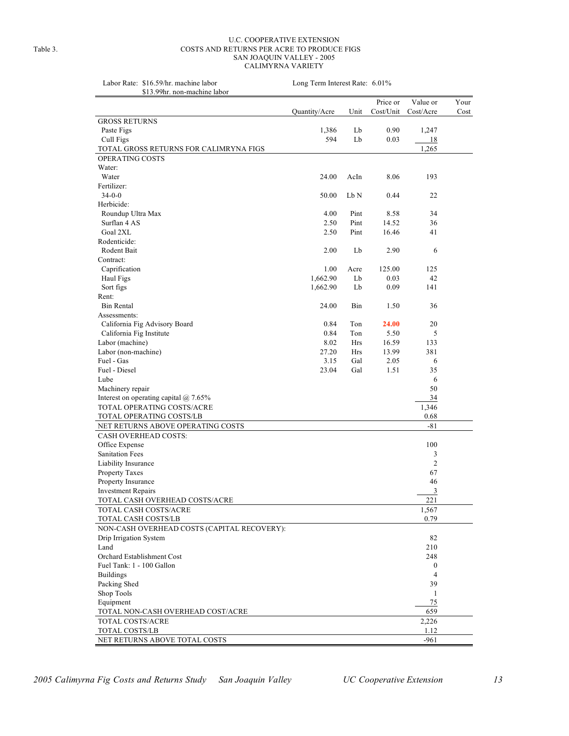#### U.C. COOPERATIVE EXTENSION Table 3. COSTS AND RETURNS PER ACRE TO PRODUCE FIGS SAN JOAQUIN VALLEY - 2005 CALIMYRNA VARIETY

| Labor Rate: \$16.59/hr. machine labor<br>\$13.99hr. non-machine labor | Long Term Interest Rate: 6.01% |            |           |                       |      |  |  |  |  |
|-----------------------------------------------------------------------|--------------------------------|------------|-----------|-----------------------|------|--|--|--|--|
|                                                                       |                                |            | Price or  |                       | Your |  |  |  |  |
|                                                                       | Quantity/Acre                  | Unit       | Cost/Unit | Value or<br>Cost/Acre | Cost |  |  |  |  |
| <b>GROSS RETURNS</b>                                                  |                                |            |           |                       |      |  |  |  |  |
| Paste Figs                                                            | 1,386                          | Lb         | 0.90      | 1,247                 |      |  |  |  |  |
| Cull Figs                                                             | 594                            | Lb         | 0.03      | <b>18</b>             |      |  |  |  |  |
| TOTAL GROSS RETURNS FOR CALIMRYNA FIGS                                |                                |            |           | 1,265                 |      |  |  |  |  |
| OPERATING COSTS                                                       |                                |            |           |                       |      |  |  |  |  |
| Water:                                                                |                                |            |           |                       |      |  |  |  |  |
| Water                                                                 | 24.00                          | AcIn       | 8.06      | 193                   |      |  |  |  |  |
| Fertilizer:                                                           |                                |            |           |                       |      |  |  |  |  |
| $34 - 0 - 0$                                                          | 50.00                          | Lb N       | 0.44      | 22                    |      |  |  |  |  |
| Herbicide:                                                            |                                |            |           |                       |      |  |  |  |  |
| Roundup Ultra Max                                                     | 4.00                           | Pint       | 8.58      | 34                    |      |  |  |  |  |
| Surflan 4 AS                                                          | 2.50                           | Pint       | 14.52     | 36                    |      |  |  |  |  |
| Goal 2XL                                                              | 2.50                           | Pint       | 16.46     | 41                    |      |  |  |  |  |
| Rodenticide:                                                          |                                |            |           |                       |      |  |  |  |  |
| Rodent Bait                                                           | 2.00                           | Lb         | 2.90      | 6                     |      |  |  |  |  |
| Contract:                                                             |                                |            |           |                       |      |  |  |  |  |
| Caprification                                                         | 1.00                           | Acre       | 125.00    | 125                   |      |  |  |  |  |
| Haul Figs                                                             | 1,662.90                       | Lb         | 0.03      | 42                    |      |  |  |  |  |
| Sort figs                                                             | 1,662.90                       | Lb         | 0.09      | 141                   |      |  |  |  |  |
| Rent:                                                                 |                                |            |           |                       |      |  |  |  |  |
| <b>Bin Rental</b>                                                     | 24.00                          | Bin        | 1.50      | 36                    |      |  |  |  |  |
| Assessments:                                                          |                                |            |           |                       |      |  |  |  |  |
| California Fig Advisory Board                                         | 0.84                           | Ton        | 24.00     | 20                    |      |  |  |  |  |
| California Fig Institute                                              | 0.84                           | Ton        | 5.50      | 5                     |      |  |  |  |  |
| Labor (machine)                                                       | 8.02                           | Hrs        | 16.59     | 133                   |      |  |  |  |  |
| Labor (non-machine)                                                   | 27.20                          | <b>Hrs</b> | 13.99     | 381                   |      |  |  |  |  |
| Fuel - Gas                                                            | 3.15                           | Gal        | 2.05      | 6                     |      |  |  |  |  |
| Fuel - Diesel                                                         | 23.04                          | Gal        | 1.51      | 35                    |      |  |  |  |  |
| Lube                                                                  |                                |            |           | 6                     |      |  |  |  |  |
| Machinery repair                                                      |                                |            |           | 50                    |      |  |  |  |  |
| Interest on operating capital $@$ 7.65%                               |                                |            |           | 34                    |      |  |  |  |  |
| TOTAL OPERATING COSTS/ACRE                                            |                                |            |           | 1,346                 |      |  |  |  |  |
| TOTAL OPERATING COSTS/LB                                              |                                |            |           | 0.68                  |      |  |  |  |  |
| NET RETURNS ABOVE OPERATING COSTS                                     |                                |            |           | $-81$                 |      |  |  |  |  |
| <b>CASH OVERHEAD COSTS:</b>                                           |                                |            |           |                       |      |  |  |  |  |
| Office Expense                                                        |                                |            |           | 100                   |      |  |  |  |  |
| <b>Sanitation Fees</b>                                                |                                |            |           | 3                     |      |  |  |  |  |
| Liability Insurance                                                   |                                |            |           | $\overline{c}$        |      |  |  |  |  |
| Property Taxes                                                        |                                |            |           | 67                    |      |  |  |  |  |
| Property Insurance                                                    |                                |            |           | 46                    |      |  |  |  |  |
| <b>Investment Repairs</b>                                             |                                |            |           | 3                     |      |  |  |  |  |
| TOTAL CASH OVERHEAD COSTS/ACRE                                        |                                |            |           | 221                   |      |  |  |  |  |
| TOTAL CASH COSTS/ACRE                                                 |                                |            |           | 1,567                 |      |  |  |  |  |
| TOTAL CASH COSTS/LB                                                   |                                |            |           | 0.79                  |      |  |  |  |  |
| NON-CASH OVERHEAD COSTS (CAPITAL RECOVERY):                           |                                |            |           |                       |      |  |  |  |  |
| Drip Irrigation System                                                |                                |            |           | 82                    |      |  |  |  |  |
| Land                                                                  |                                |            |           | 210                   |      |  |  |  |  |
| Orchard Establishment Cost                                            |                                |            |           | 248                   |      |  |  |  |  |
| Fuel Tank: 1 - 100 Gallon                                             |                                |            |           | $\boldsymbol{0}$      |      |  |  |  |  |
| <b>Buildings</b>                                                      |                                |            |           | 4                     |      |  |  |  |  |
| Packing Shed                                                          |                                |            |           | 39                    |      |  |  |  |  |
| Shop Tools                                                            |                                |            |           | 1                     |      |  |  |  |  |
| Equipment                                                             |                                |            |           | 75                    |      |  |  |  |  |
| TOTAL NON-CASH OVERHEAD COST/ACRE                                     |                                |            |           | 659                   |      |  |  |  |  |
| TOTAL COSTS/ACRE                                                      |                                |            |           | 2,226                 |      |  |  |  |  |
| TOTAL COSTS/LB                                                        |                                |            |           | 1.12                  |      |  |  |  |  |
| NET RETURNS ABOVE TOTAL COSTS                                         |                                |            |           | $-961$                |      |  |  |  |  |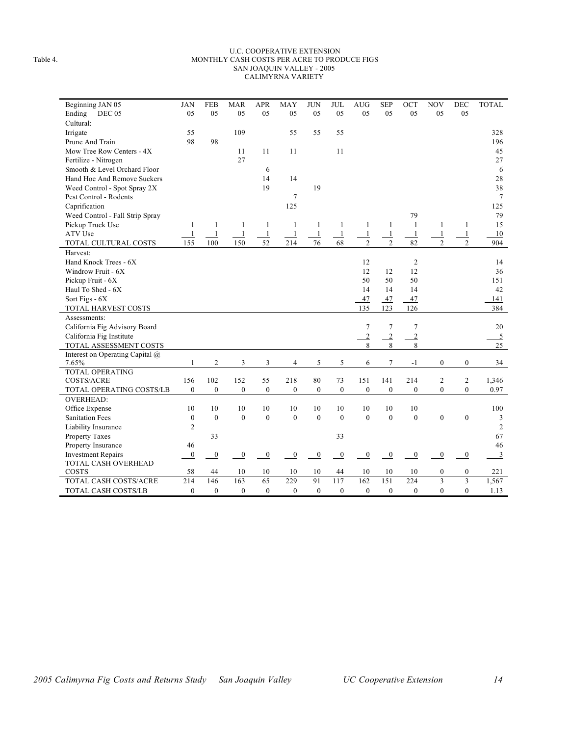#### U.C. COOPERATIVE EXTENSION Table 4. MONTHLY CASH COSTS PER ACRE TO PRODUCE FIGS SAN JOAQUIN VALLEY - 2005 CALIMYRNA VARIETY

| Beginning JAN 05                | <b>JAN</b>     | <b>FEB</b>     | <b>MAR</b>       | <b>APR</b>       | <b>MAY</b>       | <b>JUN</b>     | <b>JUL</b>       | <b>AUG</b>       | <b>SEP</b>       | OCT              | <b>NOV</b>       | DEC              | <b>TOTAL</b>   |
|---------------------------------|----------------|----------------|------------------|------------------|------------------|----------------|------------------|------------------|------------------|------------------|------------------|------------------|----------------|
| Ending<br>DEC 05                | 05             | 05             | 05               | 05               | 05               | 05             | 05               | 05               | 05               | 05               | 05               | 05               |                |
| Cultural:                       |                |                |                  |                  |                  |                |                  |                  |                  |                  |                  |                  |                |
| Irrigate                        | 55             |                | 109              |                  | 55               | 55             | 55               |                  |                  |                  |                  |                  | 328            |
| Prune And Train                 | 98             | 98             |                  |                  |                  |                |                  |                  |                  |                  |                  |                  | 196            |
| Mow Tree Row Centers - 4X       |                |                | 11               | 11               | 11               |                | 11               |                  |                  |                  |                  |                  | 45             |
| Fertilize - Nitrogen            |                |                | 27               |                  |                  |                |                  |                  |                  |                  |                  |                  | 27             |
| Smooth & Level Orchard Floor    |                |                |                  | 6                |                  |                |                  |                  |                  |                  |                  |                  | 6              |
| Hand Hoe And Remove Suckers     |                |                |                  | 14               | 14               |                |                  |                  |                  |                  |                  |                  | 28             |
| Weed Control - Spot Spray 2X    |                |                |                  | 19               |                  | 19             |                  |                  |                  |                  |                  |                  | 38             |
| Pest Control - Rodents          |                |                |                  |                  | $\tau$           |                |                  |                  |                  |                  |                  |                  | 7              |
| Caprification                   |                |                |                  |                  | 125              |                |                  |                  |                  |                  |                  |                  | 125            |
| Weed Control - Fall Strip Spray |                |                |                  |                  |                  |                |                  |                  |                  | 79               |                  |                  | 79             |
| Pickup Truck Use                | $\mathbf{1}$   | 1              | 1                | $\mathbf{1}$     | $\mathbf{1}$     | 1              | 1                | 1                | $\mathbf{1}$     | $\mathbf{1}$     | 1                | 1                | 15             |
| ATV Use                         | $\mathbf{1}$   | $\mathbf{1}$   | $\mathbf{1}$     | $\,1\,$          | $\mathbf{1}$     | $\mathbf{1}$   | $\mathbf{1}$     | 1                | $\mathbf{1}$     | $\mathbf{1}$     | $\mathbf{1}$     | $\mathbf{1}$     | 10             |
| TOTAL CULTURAL COSTS            | 155            | 100            | 150              | 52               | 214              | 76             | 68               | $\overline{c}$   | $\overline{c}$   | 82               | $\overline{c}$   | $\overline{2}$   | 904            |
| Harvest:                        |                |                |                  |                  |                  |                |                  |                  |                  |                  |                  |                  |                |
| Hand Knock Trees - 6X           |                |                |                  |                  |                  |                |                  | 12               |                  | $\sqrt{2}$       |                  |                  | 14             |
| Windrow Fruit - 6X              |                |                |                  |                  |                  |                |                  | 12               | 12               | 12               |                  |                  | 36             |
| Pickup Fruit - 6X               |                |                |                  |                  |                  |                |                  | 50               | 50               | 50               |                  |                  | 151            |
| Haul To Shed - 6X               |                |                |                  |                  |                  |                |                  | 14               | 14               | 14               |                  |                  | 42             |
| Sort Figs - 6X                  |                |                |                  |                  |                  |                |                  | 47               | 47               | 47               |                  |                  | 141            |
| TOTAL HARVEST COSTS             |                |                |                  |                  |                  |                |                  | 135              | 123              | 126              |                  |                  | 384            |
| Assessments:                    |                |                |                  |                  |                  |                |                  |                  |                  |                  |                  |                  |                |
| California Fig Advisory Board   |                |                |                  |                  |                  |                |                  | $\overline{7}$   | $\tau$           | $\tau$           |                  |                  | 20             |
| California Fig Institute        |                |                |                  |                  |                  |                |                  | $\overline{2}$   | $\overline{2}$   | $\overline{2}$   |                  |                  | $\overline{5}$ |
| TOTAL ASSESSMENT COSTS          |                |                |                  |                  |                  |                |                  | 8                | 8                | 8                |                  |                  | 25             |
| Interest on Operating Capital @ |                |                |                  |                  |                  |                |                  |                  |                  |                  |                  |                  |                |
| 7.65%                           | $\mathbf{1}$   | $\overline{c}$ | 3                | 3                | 4                | 5              | 5                | 6                | 7                | $-1$             | $\boldsymbol{0}$ | $\boldsymbol{0}$ | 34             |
| <b>TOTAL OPERATING</b>          |                |                |                  |                  |                  |                |                  |                  |                  |                  |                  |                  |                |
| <b>COSTS/ACRE</b>               | 156            | 102            | 152              | 55               | 218              | 80             | 73               | 151              | 141              | 214              | 2                | $\overline{c}$   | 1,346          |
| TOTAL OPERATING COSTS/LB        | $\mathbf{0}$   | $\mathbf{0}$   | $\boldsymbol{0}$ | $\boldsymbol{0}$ | $\mathbf{0}$     | $\overline{0}$ | $\boldsymbol{0}$ | $\boldsymbol{0}$ | $\boldsymbol{0}$ | $\mathbf{0}$     | $\mathbf{0}$     | $\overline{0}$   | 0.97           |
| <b>OVERHEAD:</b>                |                |                |                  |                  |                  |                |                  |                  |                  |                  |                  |                  |                |
| Office Expense                  | 10             | 10             | 10               | 10               | 10               | 10             | 10               | 10               | 10               | 10               |                  |                  | 100            |
| <b>Sanitation Fees</b>          | $\mathbf{0}$   | $\mathbf{0}$   | $\boldsymbol{0}$ | $\boldsymbol{0}$ | $\mathbf{0}$     | $\mathbf{0}$   | $\theta$         | $\mathbf{0}$     | $\mathbf{0}$     | $\mathbf{0}$     | $\boldsymbol{0}$ | $\mathbf{0}$     | 3              |
| Liability Insurance             | $\overline{2}$ |                |                  |                  |                  |                |                  |                  |                  |                  |                  |                  | $\overline{2}$ |
| <b>Property Taxes</b>           |                | 33             |                  |                  |                  |                | 33               |                  |                  |                  |                  |                  | 67             |
| Property Insurance              | 46             |                |                  |                  |                  |                |                  |                  |                  |                  |                  |                  | 46             |
| <b>Investment Repairs</b>       | $\overline{0}$ | $\overline{0}$ | $\overline{0}$   | $\overline{0}$   | $\boldsymbol{0}$ | $\overline{0}$ | $\overline{0}$   | $\boldsymbol{0}$ | $\bf{0}$         | $\boldsymbol{0}$ | $\boldsymbol{0}$ | $\overline{0}$   | $\overline{3}$ |
| <b>TOTAL CASH OVERHEAD</b>      |                |                |                  |                  |                  |                |                  |                  |                  |                  |                  |                  |                |
| COSTS                           | 58             | 44             | 10               | 10               | 10               | 10             | 44               | 10               | 10               | 10               | $\boldsymbol{0}$ | $\boldsymbol{0}$ | 221            |
| <b>TOTAL CASH COSTS/ACRE</b>    | 214            | 146            | 163              | 65               | 229              | 91             | 117              | 162              | 151              | 224              | 3                | 3                | 1,567          |
| TOTAL CASH COSTS/LB             | $\mathbf{0}$   | $\mathbf{0}$   | $\boldsymbol{0}$ | $\boldsymbol{0}$ | $\mathbf{0}$     | $\mathbf{0}$   | $\mathbf{0}$     | $\mathbf{0}$     | $\mathbf{0}$     | $\mathbf{0}$     | $\overline{0}$   | $\theta$         | 1.13           |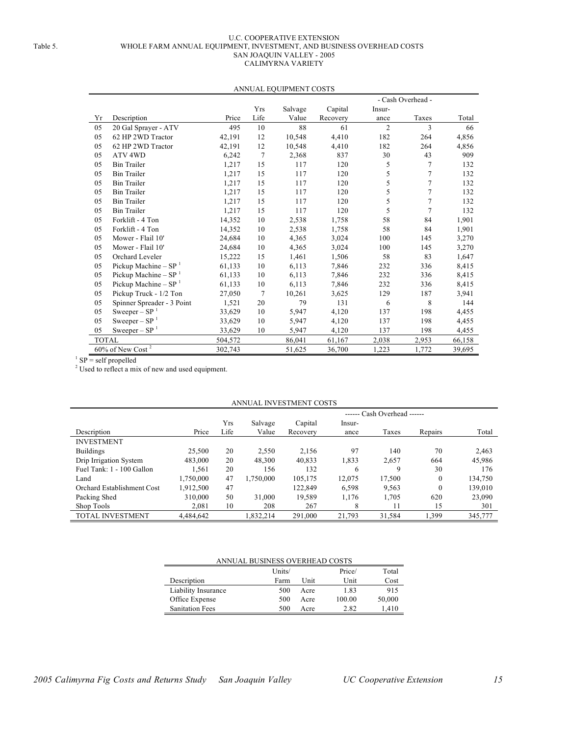#### U.C. COOPERATIVE EXTENSION Table 5. WHOLE FARM ANNUAL EQUIPMENT, INVESTMENT, AND BUSINESS OVERHEAD COSTS SAN JOAQUIN VALLEY - 2005 CALIMYRNA VARIETY

|              |                                 |         |                | AINNUAL EQUIFIMENT COSTS |          |                |        |        |  |
|--------------|---------------------------------|---------|----------------|--------------------------|----------|----------------|--------|--------|--|
|              | - Cash Overhead -               |         |                |                          |          |                |        |        |  |
|              |                                 |         | <b>Yrs</b>     | Salvage                  | Capital  | Insur-         |        |        |  |
| Yr           | Description                     | Price   | Life           | Value                    | Recovery | ance           | Taxes  | Total  |  |
| 05           | 20 Gal Sprayer - ATV            | 495     | 10             | 88                       | 61       | $\overline{2}$ | 3      | 66     |  |
| 05           | 62 HP 2WD Tractor               | 42,191  | 12             | 10,548                   | 4,410    | 182            | 264    | 4,856  |  |
| 05           | 62 HP 2WD Tractor               | 42,191  | 12             | 10,548                   | 4,410    | 182            | 264    | 4,856  |  |
| 05           | ATV <sub>4WD</sub>              | 6,242   | $\overline{7}$ | 2,368                    | 837      | 30             | 43     | 909    |  |
| 05           | <b>Bin Trailer</b>              | 1,217   | 15             | 117                      | 120      | 5              | 7      | 132    |  |
| 05           | <b>Bin Trailer</b>              | 1,217   | 15             | 117                      | 120      | 5              | 7      | 132    |  |
| 05           | <b>Bin Trailer</b>              | 1,217   | 15             | 117                      | 120      | 5              | $\tau$ | 132    |  |
| 05           | <b>Bin Trailer</b>              | 1,217   | 15             | 117                      | 120      | 5              | 7      | 132    |  |
| 05           | <b>Bin Trailer</b>              | 1,217   | 15             | 117                      | 120      | 5              | 7      | 132    |  |
| 05           | <b>Bin Trailer</b>              | 1,217   | 15             | 117                      | 120      | 5              | 7      | 132    |  |
| 05           | Forklift - 4 Ton                | 14,352  | 10             | 2,538                    | 1,758    | 58             | 84     | 1,901  |  |
| 05           | Forklift - 4 Ton                | 14,352  | 10             | 2,538                    | 1,758    | 58             | 84     | 1,901  |  |
| 05           | Mower - Flail 10'               | 24,684  | 10             | 4,365                    | 3,024    | 100            | 145    | 3,270  |  |
| 05           | Mower - Flail 10'               | 24,684  | 10             | 4,365                    | 3,024    | 100            | 145    | 3,270  |  |
| 05           | Orchard Leveler                 | 15,222  | 15             | 1,461                    | 1,506    | 58             | 83     | 1,647  |  |
| 05           | Pickup Machine - $SP1$          | 61,133  | 10             | 6,113                    | 7,846    | 232            | 336    | 8,415  |  |
| 05           | Pickup Machine – $SP^{-1}$      | 61,133  | 10             | 6,113                    | 7,846    | 232            | 336    | 8,415  |  |
| 05           | Pickup Machine – $SP^{-1}$      | 61,133  | 10             | 6,113                    | 7,846    | 232            | 336    | 8,415  |  |
| 05           | Pickup Truck - 1/2 Ton          | 27,050  | 7              | 10,261                   | 3,625    | 129            | 187    | 3,941  |  |
| 05           | Spinner Spreader - 3 Point      | 1,521   | 20             | 79                       | 131      | 6              | 8      | 144    |  |
| 05           | Sweeper – $SP1$                 | 33,629  | 10             | 5,947                    | 4,120    | 137            | 198    | 4,455  |  |
| 05           | Sweeper – $SP1$                 | 33,629  | 10             | 5,947                    | 4,120    | 137            | 198    | 4,455  |  |
| 05           | $Sweeper - SP1$                 | 33,629  | 10             | 5,947                    | 4,120    | 137            | 198    | 4,455  |  |
| <b>TOTAL</b> |                                 | 504,572 |                | 86,041                   | 61,167   | 2,038          | 2,953  | 66,158 |  |
|              | $60\%$ of New Cost <sup>2</sup> | 302,743 |                | 51,625                   | 36,700   | 1,223          | 1,772  | 39,695 |  |

#### ANNUAL EQUIPMENT COSTS

 $1$  SP = self propelled

<sup>2</sup> Used to reflect a mix of new and used equipment.

| ANNUAL INVESTMENT COSTS           |           |                             |           |          |        |        |          |         |  |  |
|-----------------------------------|-----------|-----------------------------|-----------|----------|--------|--------|----------|---------|--|--|
|                                   |           | ------ Cash Overhead ------ |           |          |        |        |          |         |  |  |
|                                   |           | Yrs                         | Salvage   | Capital  | Insur- |        |          |         |  |  |
| Description                       | Price     | Life                        | Value     | Recovery | ance   | Taxes  | Repairs  | Total   |  |  |
| <b>INVESTMENT</b>                 |           |                             |           |          |        |        |          |         |  |  |
| <b>Buildings</b>                  | 25,500    | 20                          | 2.550     | 2,156    | 97     | 140    | 70       | 2,463   |  |  |
| Drip Irrigation System            | 483,000   | 20                          | 48.300    | 40,833   | 1,833  | 2,657  | 664      | 45,986  |  |  |
| Fuel Tank: 1 - 100 Gallon         | 1,561     | 20                          | 156       | 132      | 6      | 9      | 30       | 176     |  |  |
| Land                              | 1,750,000 | 47                          | 1,750,000 | 105,175  | 12,075 | 17,500 | $\theta$ | 134,750 |  |  |
| <b>Orchard Establishment Cost</b> | 1,912,500 | 47                          |           | 122.849  | 6,598  | 9,563  | $\theta$ | 139,010 |  |  |
| Packing Shed                      | 310,000   | 50                          | 31,000    | 19,589   | 1,176  | 1,705  | 620      | 23,090  |  |  |
| Shop Tools                        | 2.081     | 10                          | 208       | 267      | 8      | 11     | 15       | 301     |  |  |
| TOTAL INVESTMENT                  | 4.484.642 |                             | 1.832.214 | 291.000  | 21.793 | 31,584 | 1.399    | 345,777 |  |  |

### ANNUAL BUSINESS OVERHEAD COSTS

|                        | Units/ |      | Price/ | Total  |
|------------------------|--------|------|--------|--------|
| Description            | Farm   | Unit | Unit   | Cost   |
| Liability Insurance    | 500    | Acre | 1.83   | 915    |
| Office Expense         | 500    | Acre | 100.00 | 50,000 |
| <b>Sanitation Fees</b> | 500    | Acre | 2.82   | 1,410  |
|                        |        |      |        |        |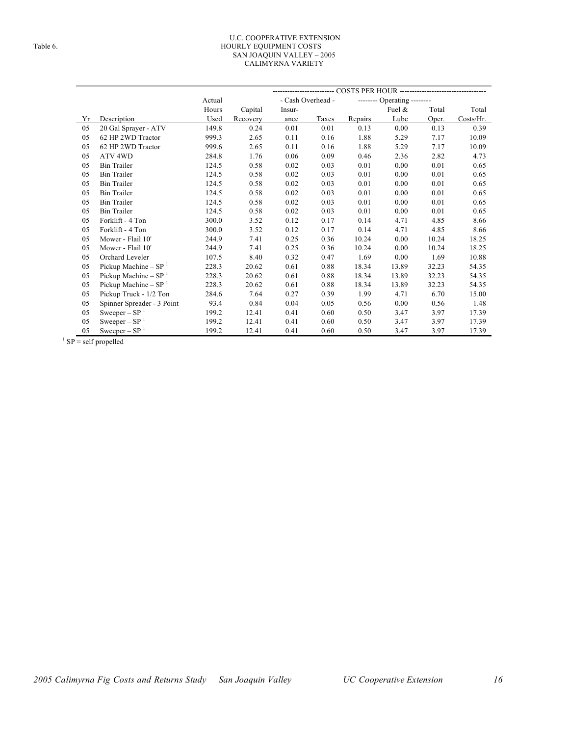#### U.C. COOPERATIVE EXTENSION Table 6. HOURLY EQUIPMENT COSTS SAN JOAQUIN VALLEY – 2005 CALIMYRNA VARIETY

|    |                            | Actual |          | - Cash Overhead - |       |         | -------- Operating -------- |       |           |
|----|----------------------------|--------|----------|-------------------|-------|---------|-----------------------------|-------|-----------|
|    |                            | Hours  | Capital  | Insur-            |       |         | Fuel &                      | Total | Total     |
| Yr | Description                | Used   | Recovery | ance              | Taxes | Repairs | Lube                        | Oper. | Costs/Hr. |
| 05 | 20 Gal Sprayer - ATV       | 149.8  | 0.24     | 0.01              | 0.01  | 0.13    | 0.00                        | 0.13  | 0.39      |
| 05 | 62 HP 2WD Tractor          | 999.3  | 2.65     | 0.11              | 0.16  | 1.88    | 5.29                        | 7.17  | 10.09     |
| 05 | 62 HP 2WD Tractor          | 999.6  | 2.65     | 0.11              | 0.16  | 1.88    | 5.29                        | 7.17  | 10.09     |
| 05 | ATV <sub>4WD</sub>         | 284.8  | 1.76     | 0.06              | 0.09  | 0.46    | 2.36                        | 2.82  | 4.73      |
| 05 | <b>Bin Trailer</b>         | 124.5  | 0.58     | 0.02              | 0.03  | 0.01    | 0.00                        | 0.01  | 0.65      |
| 05 | <b>Bin Trailer</b>         | 124.5  | 0.58     | 0.02              | 0.03  | 0.01    | 0.00                        | 0.01  | 0.65      |
| 05 | <b>Bin Trailer</b>         | 124.5  | 0.58     | 0.02              | 0.03  | 0.01    | 0.00                        | 0.01  | 0.65      |
| 05 | <b>Bin Trailer</b>         | 124.5  | 0.58     | 0.02              | 0.03  | 0.01    | 0.00                        | 0.01  | 0.65      |
| 05 | <b>Bin Trailer</b>         | 124.5  | 0.58     | 0.02              | 0.03  | 0.01    | 0.00                        | 0.01  | 0.65      |
| 05 | <b>Bin Trailer</b>         | 124.5  | 0.58     | 0.02              | 0.03  | 0.01    | 0.00                        | 0.01  | 0.65      |
| 05 | Forklift - 4 Ton           | 300.0  | 3.52     | 0.12              | 0.17  | 0.14    | 4.71                        | 4.85  | 8.66      |
| 05 | Forklift - 4 Ton           | 300.0  | 3.52     | 0.12              | 0.17  | 0.14    | 4.71                        | 4.85  | 8.66      |
| 05 | Mower - Flail 10'          | 244.9  | 7.41     | 0.25              | 0.36  | 10.24   | 0.00                        | 10.24 | 18.25     |
| 05 | Mower - Flail 10'          | 244.9  | 7.41     | 0.25              | 0.36  | 10.24   | 0.00                        | 10.24 | 18.25     |
| 05 | Orchard Leveler            | 107.5  | 8.40     | 0.32              | 0.47  | 1.69    | 0.00                        | 1.69  | 10.88     |
| 05 | Pickup Machine - $SP1$     | 228.3  | 20.62    | 0.61              | 0.88  | 18.34   | 13.89                       | 32.23 | 54.35     |
| 05 | Pickup Machine – $SP^{-1}$ | 228.3  | 20.62    | 0.61              | 0.88  | 18.34   | 13.89                       | 32.23 | 54.35     |
| 05 | Pickup Machine - $SP1$     | 228.3  | 20.62    | 0.61              | 0.88  | 18.34   | 13.89                       | 32.23 | 54.35     |
| 05 | Pickup Truck - 1/2 Ton     | 284.6  | 7.64     | 0.27              | 0.39  | 1.99    | 4.71                        | 6.70  | 15.00     |
| 05 | Spinner Spreader - 3 Point | 93.4   | 0.84     | 0.04              | 0.05  | 0.56    | 0.00                        | 0.56  | 1.48      |
| 05 | Sweeper $-$ SP $1$         | 199.2  | 12.41    | 0.41              | 0.60  | 0.50    | 3.47                        | 3.97  | 17.39     |
| 05 | Sweeper $-$ SP $1$         | 199.2  | 12.41    | 0.41              | 0.60  | 0.50    | 3.47                        | 3.97  | 17.39     |
| 05 | Sweeper – $SP1$            | 199.2  | 12.41    | 0.41              | 0.60  | 0.50    | 3.47                        | 3.97  | 17.39     |

SP = self propelled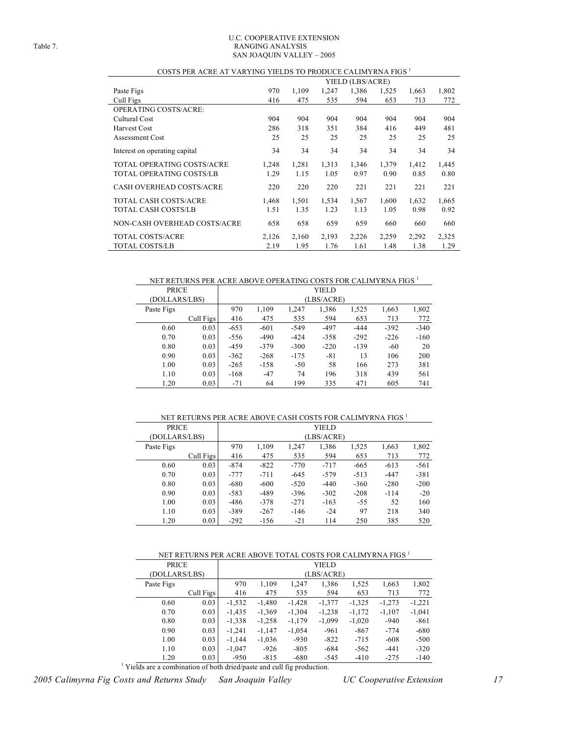#### U.C. COOPERATIVE EXTENSION Table 7. RANGING ANALYSIS SAN JOAQUIN VALLEY – 2005

| COSTS PER ACRE AT VARYING YIELDS TO PRODUCE CALIMYRNA FIGS |       |       |       |                  |       |       |       |
|------------------------------------------------------------|-------|-------|-------|------------------|-------|-------|-------|
|                                                            |       |       |       | YIELD (LBS/ACRE) |       |       |       |
| Paste Figs                                                 | 970   | 1,109 | 1,247 | 1,386            | 1,525 | 1,663 | 1,802 |
| Cull Figs                                                  | 416   | 475   | 535   | 594              | 653   | 713   | 772   |
| <b>OPERATING COSTS/ACRE:</b>                               |       |       |       |                  |       |       |       |
| Cultural Cost                                              | 904   | 904   | 904   | 904              | 904   | 904   | 904   |
| <b>Harvest Cost</b>                                        | 286   | 318   | 351   | 384              | 416   | 449   | 481   |
| Assessment Cost                                            | 25    | 25    | 25    | 25               | 25    | 25    | 25    |
| Interest on operating capital                              | 34    | 34    | 34    | 34               | 34    | 34    | 34    |
| TOTAL OPERATING COSTS/ACRE                                 | 1,248 | 1,281 | 1,313 | 1,346            | 1,379 | 1,412 | 1,445 |
| TOTAL OPERATING COSTS/LB                                   | 1.29  | 1.15  | 1.05  | 0.97             | 0.90  | 0.85  | 0.80  |
| <b>CASH OVERHEAD COSTS/ACRE</b>                            | 220   | 220   | 220   | 221              | 221   | 221   | 221   |
| TOTAL CASH COSTS/ACRE                                      | 1,468 | 1,501 | 1,534 | 1,567            | 1,600 | 1,632 | 1,665 |
| TOTAL CASH COSTS/LB                                        | 1.51  | 1.35  | 1.23  | 1.13             | 1.05  | 0.98  | 0.92  |
| NON-CASH OVERHEAD COSTS/ACRE                               | 658   | 658   | 659   | 659              | 660   | 660   | 660   |
| TOTAL COSTS/ACRE                                           | 2,126 | 2,160 | 2,193 | 2,226            | 2,259 | 2,292 | 2,325 |
| <b>TOTAL COSTS/LB</b>                                      | 2.19  | 1.95  | 1.76  | 1.61             | 1.48  | 1.38  | 1.29  |

#### COSTS PER ACRE AT VARYING YIELDS TO PRODUCE CALIMYRNA FIGS  $^{\rm l}$

NET RETURNS PER ACRE ABOVE OPERATING COSTS FOR CALIMYRNA FIGS  $^{\rm 1}$ 

| <b>PRICE</b>  |           |        |            |        | YIELD  |        |        |        |  |  |  |
|---------------|-----------|--------|------------|--------|--------|--------|--------|--------|--|--|--|
| (DOLLARS/LBS) |           |        | (LBS/ACRE) |        |        |        |        |        |  |  |  |
| Paste Figs    |           | 970    | 1,109      | 1,247  | 1,386  | 1,525  | 1,663  | 1,802  |  |  |  |
|               | Cull Figs | 416    | 475        | 535    | 594    | 653    | 713    | 772    |  |  |  |
| 0.60          | 0.03      | $-653$ | $-601$     | $-549$ | $-497$ | $-444$ | $-392$ | $-340$ |  |  |  |
| 0.70          | 0.03      | $-556$ | $-490$     | $-424$ | $-358$ | $-292$ | $-226$ | $-160$ |  |  |  |
| 0.80          | 0.03      | $-459$ | $-379$     | $-300$ | $-220$ | $-139$ | $-60$  | 20     |  |  |  |
| 0.90          | 0.03      | $-362$ | $-268$     | $-175$ | $-81$  | 13     | 106    | 200    |  |  |  |
| 1.00          | 0.03      | $-265$ | $-158$     | $-50$  | 58     | 166    | 273    | 381    |  |  |  |
| 1.10          | 0.03      | $-168$ | $-47$      | 74     | 196    | 318    | 439    | 561    |  |  |  |
| 1.20          | 0.03      | $-71$  | 64         | 199    | 335    | 471    | 605    | 741    |  |  |  |

NET RETURNS PER ACRE ABOVE CASH COSTS FOR CALIMYRNA FIGS  $^{\rm 1}$ 

| <b>PRICE</b>  |           |        |        |        | <b>YIELD</b> |        |        |        |
|---------------|-----------|--------|--------|--------|--------------|--------|--------|--------|
| (DOLLARS/LBS) |           |        |        |        | (LBS/ACRE)   |        |        |        |
| Paste Figs    |           | 970    | 1,109  | 1,247  | 1,386        | 1,525  | 1,663  | 1,802  |
|               | Cull Figs | 416    | 475    | 535    | 594          | 653    | 713    | 772    |
| 0.60          | 0.03      | $-874$ | $-822$ | $-770$ | $-717$       | $-665$ | $-613$ | $-561$ |
| 0.70          | 0.03      | $-777$ | $-711$ | $-645$ | $-579$       | $-513$ | $-447$ | $-381$ |
| 0.80          | 0.03      | $-680$ | $-600$ | $-520$ | $-440$       | $-360$ | $-280$ | $-200$ |
| 0.90          | 0.03      | $-583$ | $-489$ | $-396$ | $-302$       | $-208$ | $-114$ | $-20$  |
| 1.00          | 0.03      | $-486$ | $-378$ | $-271$ | $-163$       | $-55$  | 52     | 160    |
| 1.10          | 0.03      | $-389$ | $-267$ | $-146$ | $-24$        | 97     | 218    | 340    |
| 1.20          | 0.03      | $-292$ | $-156$ | $-21$  | 114          | 250    | 385    | 520    |

#### NET RETURNS PER ACRE ABOVE TOTAL COSTS FOR CALIMYRNA FIGS  $^{\rm 1}$

| <b>PRICE</b>  |           |          | YIELD      |          |          |          |          |          |  |  |  |
|---------------|-----------|----------|------------|----------|----------|----------|----------|----------|--|--|--|
| (DOLLARS/LBS) |           |          | (LBS/ACRE) |          |          |          |          |          |  |  |  |
| Paste Figs    |           | 970      | 1,109      | 1,247    | 1,386    | 1,525    | 1,663    | 1,802    |  |  |  |
|               | Cull Figs | 416      | 475        | 535      | 594      | 653      | 713      | 772      |  |  |  |
| 0.60          | 0.03      | $-1,532$ | $-1,480$   | $-1,428$ | $-1,377$ | $-1,325$ | $-1,273$ | $-1,221$ |  |  |  |
| 0.70          | 0.03      | $-1,435$ | $-1,369$   | $-1,304$ | $-1,238$ | $-1,172$ | $-1,107$ | $-1,041$ |  |  |  |
| 0.80          | 0.03      | $-1,338$ | $-1,258$   | $-1,179$ | $-1,099$ | $-1,020$ | $-940$   | $-861$   |  |  |  |
| 0.90          | 0.03      | $-1,241$ | $-1,147$   | $-1,054$ | $-961$   | $-867$   | $-774$   | $-680$   |  |  |  |
| 1.00          | 0.03      | $-1,144$ | $-1,036$   | $-930$   | $-822$   | $-715$   | $-608$   | $-500$   |  |  |  |
| 1.10          | 0.03      | $-1,047$ | $-926$     | $-805$   | $-684$   | $-562$   | $-441$   | $-320$   |  |  |  |
| 1.20          | 0.03      | $-950$   | $-815$     | $-680$   | $-545$   | $-410$   | $-275$   | $-140$   |  |  |  |

<sup>1</sup> Yields are a combination of both dried/paste and cull fig production.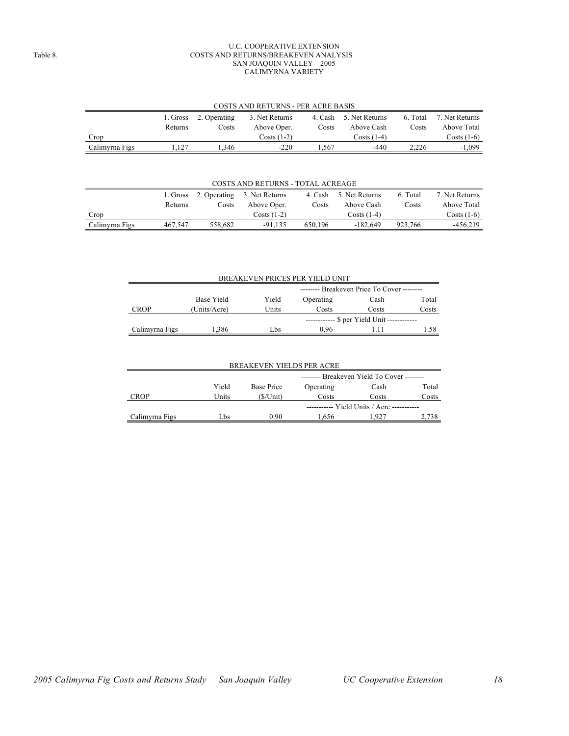#### U.C. COOPERATIVE EXTENSION Table 8. COSTS AND RETURNS/BREAKEVEN ANALYSIS SAN JOAQUIN VALLEY – 2005 CALIMYRNA VARIETY

| COSTS AND RETURNS - PER ACRE BASIS                              |                                                                                                    |      |              |      |               |             |              |  |
|-----------------------------------------------------------------|----------------------------------------------------------------------------------------------------|------|--------------|------|---------------|-------------|--------------|--|
|                                                                 | 2. Operating<br>3. Net Returns<br>4. Cash 5. Net Returns<br>7. Net Returns<br>6. Total<br>1. Gross |      |              |      |               |             |              |  |
| Above Oper.<br>Above Cash<br>Costs<br>Costs<br>Costs<br>Returns |                                                                                                    |      |              |      |               | Above Total |              |  |
| Crop                                                            |                                                                                                    |      | $Costs(1-2)$ |      | Costs $(1-4)$ |             | $Costs(1-6)$ |  |
| Calimyrna Figs                                                  | .127                                                                                               | .346 | $-220$       | .567 | $-440$        | 2.226       | $-1.099$     |  |

#### COSTS AND RETURNS - TOTAL ACREAGE

|                |         |         | 1. Gross 2. Operating 3. Net Returns | 4. Cash | 5. Net Returns | 6. Total | 7. Net Returns |
|----------------|---------|---------|--------------------------------------|---------|----------------|----------|----------------|
|                | Returns | Costs   | Above Oper.                          | Costs   | Above Cash     | Costs    | Above Total    |
| Crop           |         |         | $Costs(1-2)$                         |         | $Costs(1-4)$   |          | $Costs(1-6)$   |
| Calimyrna Figs | 467.547 | 558.682 | $-91.135$                            | 650.196 | $-182.649$     | 923.766  | -456.219       |

| BREAKEVEN PRICES PER YIELD UNIT |                                                   |       |                                    |       |       |  |  |  |  |  |
|---------------------------------|---------------------------------------------------|-------|------------------------------------|-------|-------|--|--|--|--|--|
|                                 | -------- Breakeven Price To Cover --------        |       |                                    |       |       |  |  |  |  |  |
|                                 | Base Yield<br>Yield<br>Total<br>Operating<br>Cash |       |                                    |       |       |  |  |  |  |  |
| <b>CROP</b>                     | (Units/Acre)                                      | Units | Costs                              | Costs | Costs |  |  |  |  |  |
|                                 |                                                   |       | --- \$ per Yield Unit ------------ |       |       |  |  |  |  |  |
| Calimyrna Figs                  | 1.386                                             | hs.   | 0 96                               |       | 1.58  |  |  |  |  |  |
|                                 |                                                   |       |                                    |       |       |  |  |  |  |  |

| <b>BREAKEVEN YIELDS PER ACRE</b>                        |       |                                          |                                            |       |       |  |  |  |  |
|---------------------------------------------------------|-------|------------------------------------------|--------------------------------------------|-------|-------|--|--|--|--|
|                                                         |       | $-----$ Breakeven Yield To Cover $-----$ |                                            |       |       |  |  |  |  |
|                                                         | Yield | Base Price                               | Operating<br>Total<br>Cash                 |       |       |  |  |  |  |
| <b>CROP</b>                                             | Units | (\$/Unit)                                | Costs                                      | Costs | Costs |  |  |  |  |
|                                                         |       |                                          | ----------- Yield Units / Acre ----------- |       |       |  |  |  |  |
| 0.90<br>Calimyrna Figs<br>-927<br>2,738<br>1.656<br>Lbs |       |                                          |                                            |       |       |  |  |  |  |